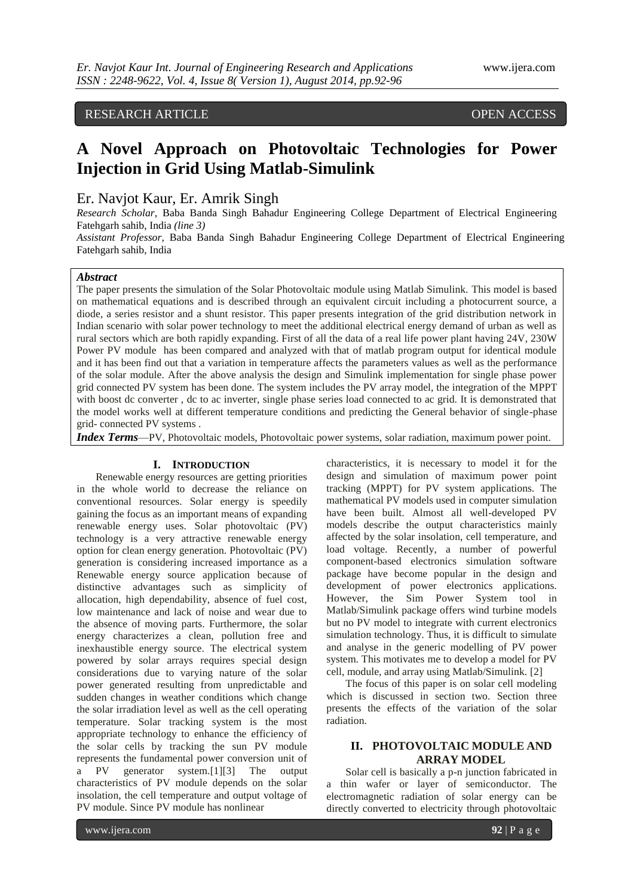RESEARCH ARTICLE OPEN ACCESS

# **A Novel Approach on Photovoltaic Technologies for Power Injection in Grid Using Matlab-Simulink**

# Er. Navjot Kaur, Er. Amrik Singh

*Research Scholar,* [Baba Banda Singh Bahadur Engineering College](https://www.google.co.in/url?sa=t&rct=j&q=&esrc=s&source=web&cd=1&sqi=2&ved=0CBsQFjAA&url=http%3A%2F%2Fbbsbec.edu.in%2F&ei=jJjDU6XwFc6WuAToqIGoBA&usg=AFQjCNHJjXtA2ZJ7VVgzLnpgKkaOGygeQg) Department of Electrical Engineering Fatehgarh sahib, India *(line 3)*

*Assistant Professor,* [Baba Banda Singh Bahadur Engineering College](https://www.google.co.in/url?sa=t&rct=j&q=&esrc=s&source=web&cd=1&sqi=2&ved=0CBsQFjAA&url=http%3A%2F%2Fbbsbec.edu.in%2F&ei=jJjDU6XwFc6WuAToqIGoBA&usg=AFQjCNHJjXtA2ZJ7VVgzLnpgKkaOGygeQg) Department of Electrical Engineering Fatehgarh sahib, India

# *Abstract*

The paper presents the simulation of the Solar Photovoltaic module using Matlab Simulink. This model is based on mathematical equations and is described through an equivalent circuit including a photocurrent source, a diode, a series resistor and a shunt resistor. This paper presents integration of the grid distribution network in Indian scenario with solar power technology to meet the additional electrical energy demand of urban as well as rural sectors which are both rapidly expanding. First of all the data of a real life power plant having 24V, 230W Power PV module has been compared and analyzed with that of matlab program output for identical module and it has been find out that a variation in temperature affects the parameters values as well as the performance of the solar module. After the above analysis the design and Simulink implementation for single phase power grid connected PV system has been done. The system includes the PV array model, the integration of the MPPT with boost dc converter, dc to ac inverter, single phase series load connected to ac grid. It is demonstrated that the model works well at different temperature conditions and predicting the General behavior of single-phase grid- connected PV systems .

*Index Terms*—PV, Photovoltaic models, Photovoltaic power systems, solar radiation, maximum power point.

### **I. INTRODUCTION**

Renewable energy resources are getting priorities in the whole world to decrease the reliance on conventional resources. Solar energy is speedily gaining the focus as an important means of expanding renewable energy uses. Solar photovoltaic (PV) technology is a very attractive renewable energy option for clean energy generation. Photovoltaic (PV) generation is considering increased importance as a Renewable energy source application because of distinctive advantages such as simplicity of allocation, high dependability, absence of fuel cost, low maintenance and lack of noise and wear due to the absence of moving parts. Furthermore, the solar energy characterizes a clean, pollution free and inexhaustible energy source. The electrical system powered by solar arrays requires special design considerations due to varying nature of the solar power generated resulting from unpredictable and sudden changes in weather conditions which change the solar irradiation level as well as the cell operating temperature. Solar tracking system is the most appropriate technology to enhance the efficiency of the solar cells by tracking the sun PV module represents the fundamental power conversion unit of a PV generator system.[1][3] The output characteristics of PV module depends on the solar insolation, the cell temperature and output voltage of PV module. Since PV module has nonlinear

characteristics, it is necessary to model it for the design and simulation of maximum power point tracking (MPPT) for PV system applications. The mathematical PV models used in computer simulation have been built. Almost all well-developed PV models describe the output characteristics mainly affected by the solar insolation, cell temperature, and load voltage. Recently, a number of powerful component-based electronics simulation software package have become popular in the design and development of power electronics applications. However, the Sim Power System tool in Matlab/Simulink package offers wind turbine models but no PV model to integrate with current electronics simulation technology. Thus, it is difficult to simulate and analyse in the generic modelling of PV power system. This motivates me to develop a model for PV cell, module, and array using Matlab/Simulink. [2]

The focus of this paper is on solar cell modeling which is discussed in section two. Section three presents the effects of the variation of the solar radiation.

## **II. PHOTOVOLTAIC MODULE AND ARRAY MODEL**

Solar cell is basically a p-n junction fabricated in a thin wafer or layer of semiconductor. The electromagnetic radiation of solar energy can be directly converted to electricity through photovoltaic

www.ijera.com **92** | P a g e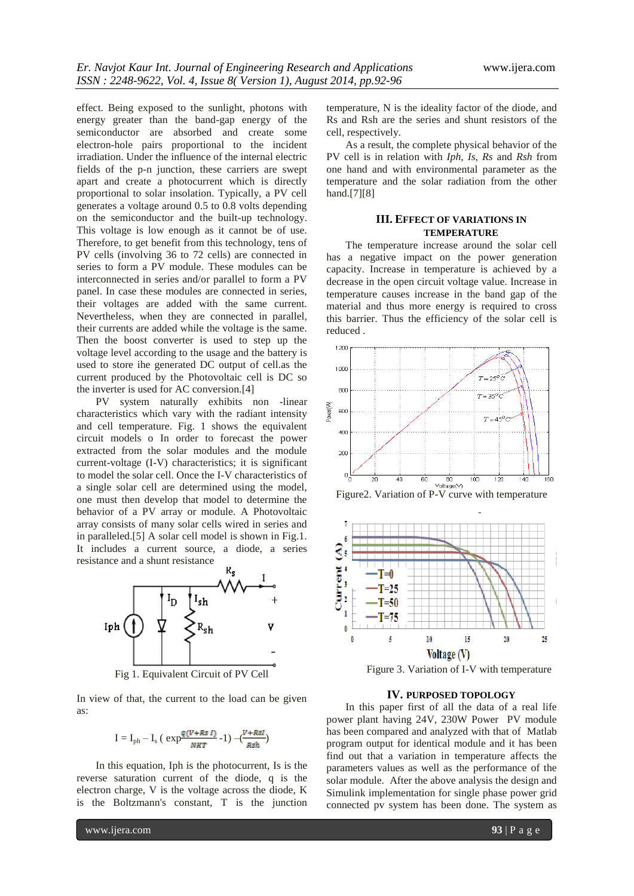effect. Being exposed to the sunlight, photons with energy greater than the band-gap energy of the semiconductor are absorbed and create some electron-hole pairs proportional to the incident irradiation. Under the influence of the internal electric fields of the p-n junction, these carriers are swept apart and create a photocurrent which is directly proportional to solar insolation. Typically, a PV cell generates a voltage around 0.5 to 0.8 volts depending on the semiconductor and the built-up technology. This voltage is low enough as it cannot be of use. Therefore, to get benefit from this technology, tens of PV cells (involving 36 to 72 cells) are connected in series to form a PV module. These modules can be interconnected in series and/or parallel to form a PV panel. In case these modules are connected in series, their voltages are added with the same current. Nevertheless, when they are connected in parallel, their currents are added while the voltage is the same. Then the boost converter is used to step up the voltage level according to the usage and the battery is used to store ihe generated DC output of cell.as the current produced by the Photovoltaic cell is DC so the inverter is used for AC conversion.[4]

PV system naturally exhibits non -linear characteristics which vary with the radiant intensity and cell temperature. Fig. 1 shows the equivalent circuit models o In order to forecast the power extracted from the solar modules and the module current-voltage (I-V) characteristics; it is significant to model the solar cell. Once the I-V characteristics of a single solar cell are determined using the model, one must then develop that model to determine the behavior of a PV array or module. A Photovoltaic array consists of many solar cells wired in series and in paralleled.[5] A solar cell model is shown in Fig.1. It includes a current source, a diode, a series resistance and a shunt resistance



Fig 1. Equivalent Circuit of PV Cell

In view of that, the current to the load can be given as:

$$
I = I_{ph} - I_s ( \exp \frac{q (V + Rs I)}{NKT} - 1) - \frac{(V + RsI)}{Rsh})
$$

In this equation, Iph is the photocurrent, Is is the reverse saturation current of the diode, q is the electron charge, V is the voltage across the diode, K is the Boltzmann's constant, T is the junction temperature, N is the ideality factor of the diode, and Rs and Rsh are the series and shunt resistors of the cell, respectively.

As a result, the complete physical behavior of the PV cell is in relation with *Iph, Is*, *Rs* and *Rsh* from one hand and with environmental parameter as the temperature and the solar radiation from the other hand.[7][8]

## **III. EFFECT OF VARIATIONS IN TEMPERATURE**

The temperature increase around the solar cell has a negative impact on the power generation capacity. Increase in temperature is achieved by a decrease in the open circuit voltage value. Increase in temperature causes increase in the band gap of the material and thus more energy is required to cross this barrier. Thus the efficiency of the solar cell is reduced .







Figure 3. Variation of I-V with temperature

# **IV. PURPOSED TOPOLOGY**

In this paper first of all the data of a real life power plant having 24V, 230W Power PV module has been compared and analyzed with that of Matlab program output for identical module and it has been find out that a variation in temperature affects the parameters values as well as the performance of the solar module. After the above analysis the design and Simulink implementation for single phase power grid connected pv system has been done. The system as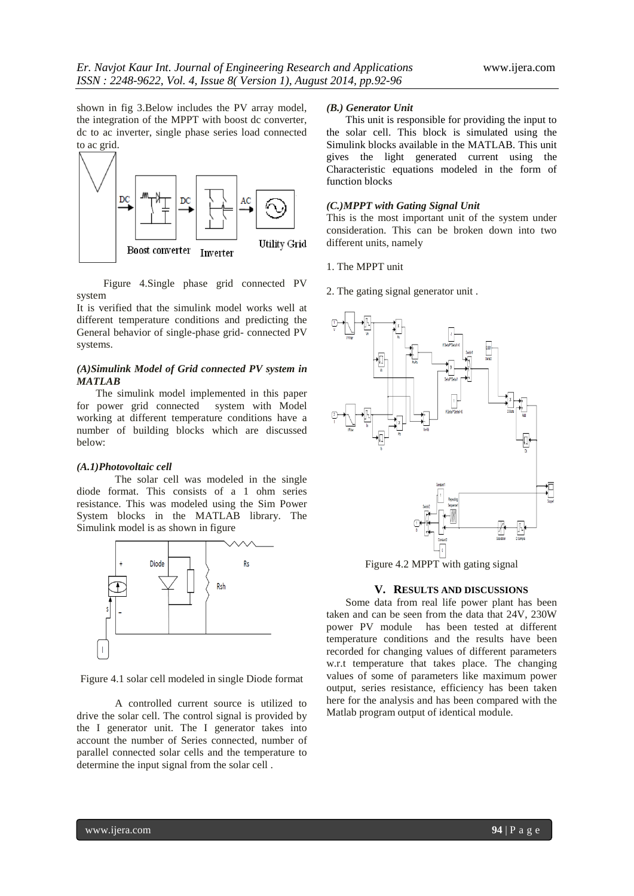shown in fig 3.Below includes the PV array model, the integration of the MPPT with boost dc converter, dc to ac inverter, single phase series load connected to ac grid.



 Figure 4.Single phase grid connected PV system

It is verified that the simulink model works well at different temperature conditions and predicting the General behavior of single-phase grid- connected PV systems.

## *(A)Simulink Model of Grid connected PV system in MATLAB*

The simulink model implemented in this paper for power grid connected system with Model working at different temperature conditions have a number of building blocks which are discussed below:

#### *(A.1)Photovoltaic cell*

The solar cell was modeled in the single diode format. This consists of a 1 ohm series resistance. This was modeled using the Sim Power System blocks in the MATLAB library. The Simulink model is as shown in figure



Figure 4.1 solar cell modeled in single Diode format

A controlled current source is utilized to drive the solar cell. The control signal is provided by the I generator unit. The I generator takes into account the number of Series connected, number of parallel connected solar cells and the temperature to determine the input signal from the solar cell .

#### *(B.) Generator Unit*

This unit is responsible for providing the input to the solar cell. This block is simulated using the Simulink blocks available in the MATLAB. This unit gives the light generated current using the Characteristic equations modeled in the form of function blocks

#### *(C.)MPPT with Gating Signal Unit*

This is the most important unit of the system under consideration. This can be broken down into two different units, namely

- 1. The MPPT unit
- 2. The gating signal generator unit .



Figure 4.2 MPPT with gating signal

#### **V. RESULTS AND DISCUSSIONS**

Some data from real life power plant has been taken and can be seen from the data that 24V, 230W power PV module has been tested at different temperature conditions and the results have been recorded for changing values of different parameters w.r.t temperature that takes place. The changing values of some of parameters like maximum power output, series resistance, efficiency has been taken here for the analysis and has been compared with the Matlab program output of identical module.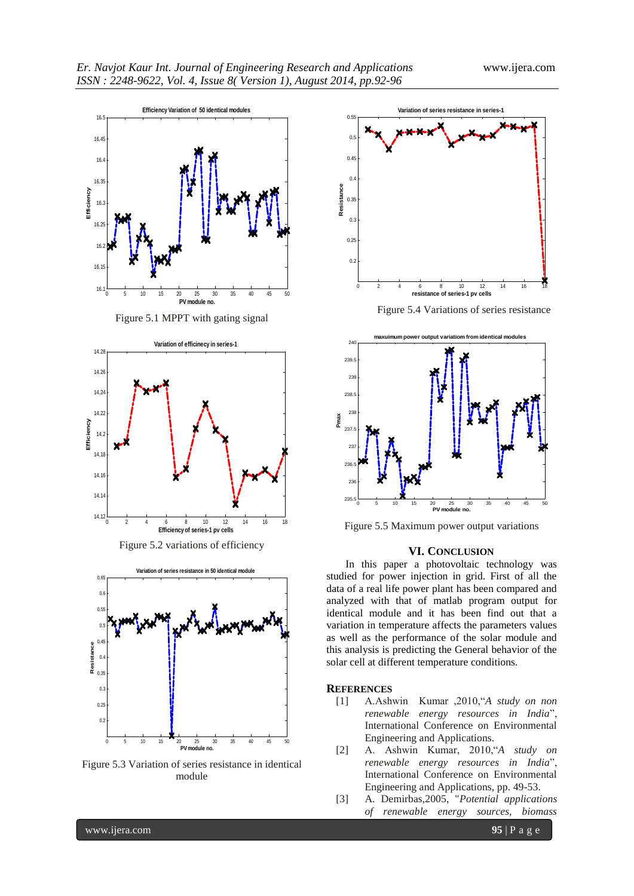



Figure 5.2 variations of efficiency



Figure 5.3 Variation of series resistance in identical module



Figure 5.4 Variations of series resistance



Figure 5.5 Maximum power output variations

#### **VI. CONCLUSION**

In this paper a photovoltaic technology was studied for power injection in grid. First of all the data of a real life power plant has been compared and analyzed with that of matlab program output for identical module and it has been find out that a variation in temperature affects the parameters values as well as the performance of the solar module and this analysis is predicting the General behavior of the solar cell at different temperature conditions.

#### **REFERENCES**

- [1] A.Ashwin Kumar ,2010,―*A study on non renewable energy resources in India*", International Conference on Environmental Engineering and Applications.
- [2] A. Ashwin Kumar, 2010,"A study on *renewable energy resources in India*", International Conference on Environmental Engineering and Applications, pp. 49-53.
- [3] A. Demirbas,2005, "*Potential applications of renewable energy sources, biomass*